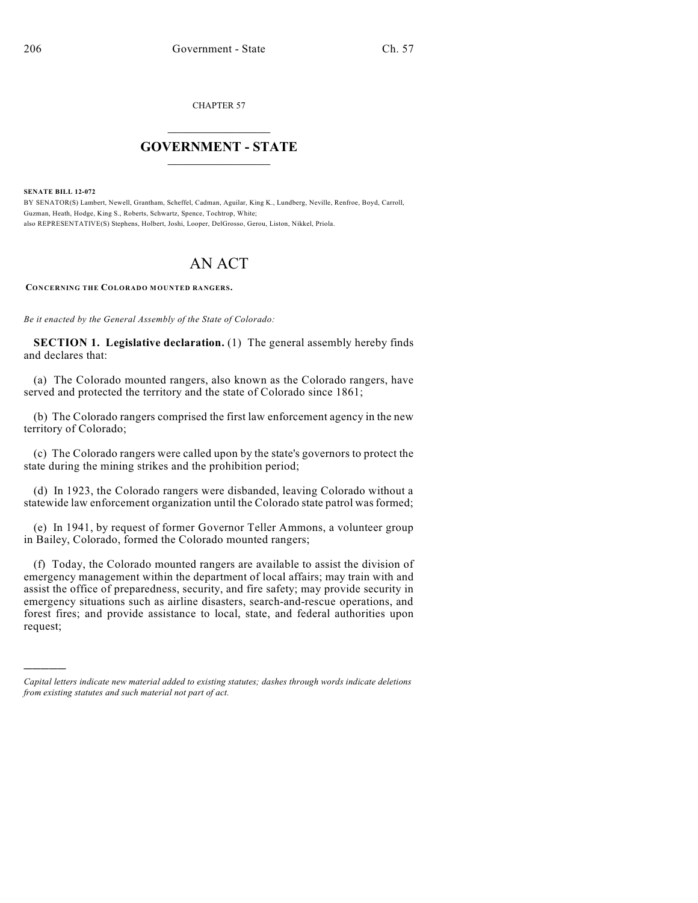CHAPTER 57

## $\overline{\phantom{a}}$  . The set of the set of the set of the set of the set of the set of the set of the set of the set of the set of the set of the set of the set of the set of the set of the set of the set of the set of the set o **GOVERNMENT - STATE**  $\_$

**SENATE BILL 12-072**

)))))

BY SENATOR(S) Lambert, Newell, Grantham, Scheffel, Cadman, Aguilar, King K., Lundberg, Neville, Renfroe, Boyd, Carroll, Guzman, Heath, Hodge, King S., Roberts, Schwartz, Spence, Tochtrop, White; also REPRESENTATIVE(S) Stephens, Holbert, Joshi, Looper, DelGrosso, Gerou, Liston, Nikkel, Priola.

## AN ACT

**CONCERNING THE COLORADO MOUNTED RANGERS.**

*Be it enacted by the General Assembly of the State of Colorado:*

**SECTION 1. Legislative declaration.** (1) The general assembly hereby finds and declares that:

(a) The Colorado mounted rangers, also known as the Colorado rangers, have served and protected the territory and the state of Colorado since 1861;

(b) The Colorado rangers comprised the first law enforcement agency in the new territory of Colorado;

(c) The Colorado rangers were called upon by the state's governors to protect the state during the mining strikes and the prohibition period;

(d) In 1923, the Colorado rangers were disbanded, leaving Colorado without a statewide law enforcement organization until the Colorado state patrol was formed;

(e) In 1941, by request of former Governor Teller Ammons, a volunteer group in Bailey, Colorado, formed the Colorado mounted rangers;

(f) Today, the Colorado mounted rangers are available to assist the division of emergency management within the department of local affairs; may train with and assist the office of preparedness, security, and fire safety; may provide security in emergency situations such as airline disasters, search-and-rescue operations, and forest fires; and provide assistance to local, state, and federal authorities upon request;

*Capital letters indicate new material added to existing statutes; dashes through words indicate deletions from existing statutes and such material not part of act.*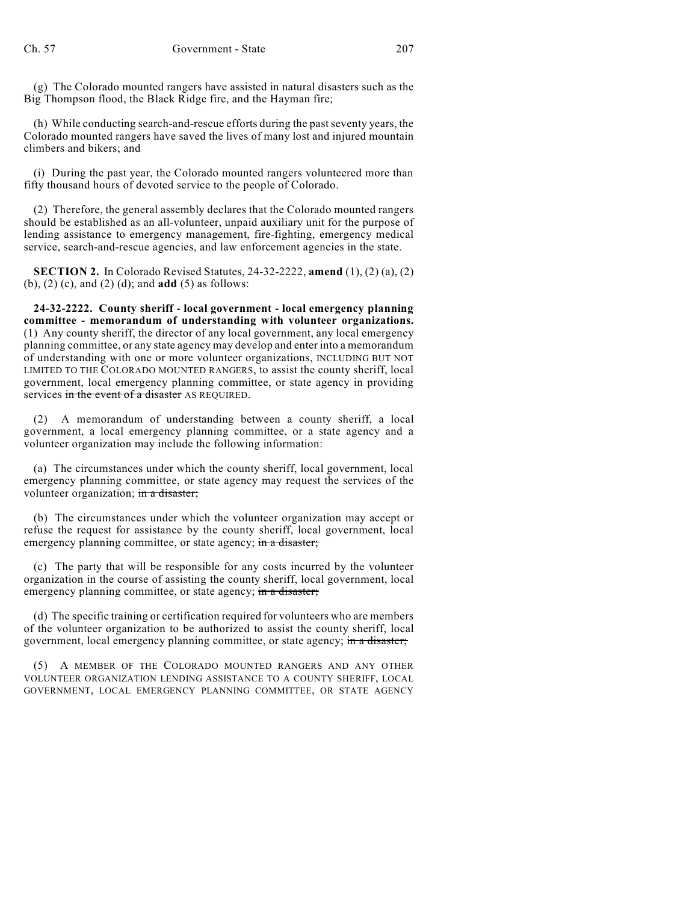(g) The Colorado mounted rangers have assisted in natural disasters such as the Big Thompson flood, the Black Ridge fire, and the Hayman fire;

(h) While conducting search-and-rescue efforts during the pastseventy years, the Colorado mounted rangers have saved the lives of many lost and injured mountain climbers and bikers; and

(i) During the past year, the Colorado mounted rangers volunteered more than fifty thousand hours of devoted service to the people of Colorado.

(2) Therefore, the general assembly declares that the Colorado mounted rangers should be established as an all-volunteer, unpaid auxiliary unit for the purpose of lending assistance to emergency management, fire-fighting, emergency medical service, search-and-rescue agencies, and law enforcement agencies in the state.

**SECTION 2.** In Colorado Revised Statutes, 24-32-2222, **amend** (1), (2) (a), (2) (b), (2) (c), and (2) (d); and **add** (5) as follows:

**24-32-2222. County sheriff - local government - local emergency planning committee - memorandum of understanding with volunteer organizations.** (1) Any county sheriff, the director of any local government, any local emergency planning committee, or any state agency may develop and enter into a memorandum of understanding with one or more volunteer organizations, INCLUDING BUT NOT LIMITED TO THE COLORADO MOUNTED RANGERS, to assist the county sheriff, local government, local emergency planning committee, or state agency in providing services in the event of a disaster AS REQUIRED.

(2) A memorandum of understanding between a county sheriff, a local government, a local emergency planning committee, or a state agency and a volunteer organization may include the following information:

(a) The circumstances under which the county sheriff, local government, local emergency planning committee, or state agency may request the services of the volunteer organization; in a disaster;

(b) The circumstances under which the volunteer organization may accept or refuse the request for assistance by the county sheriff, local government, local emergency planning committee, or state agency; in a disaster;

(c) The party that will be responsible for any costs incurred by the volunteer organization in the course of assisting the county sheriff, local government, local emergency planning committee, or state agency; in a disaster;

(d) The specific training or certification required for volunteers who are members of the volunteer organization to be authorized to assist the county sheriff, local government, local emergency planning committee, or state agency; in a disaster;

(5) A MEMBER OF THE COLORADO MOUNTED RANGERS AND ANY OTHER VOLUNTEER ORGANIZATION LENDING ASSISTANCE TO A COUNTY SHERIFF, LOCAL GOVERNMENT, LOCAL EMERGENCY PLANNING COMMITTEE, OR STATE AGENCY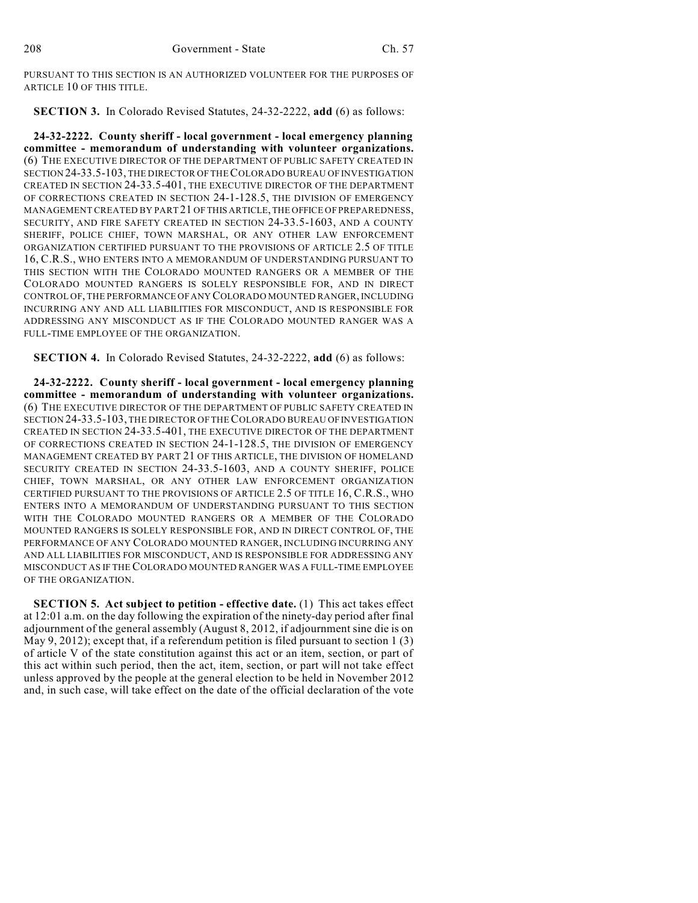PURSUANT TO THIS SECTION IS AN AUTHORIZED VOLUNTEER FOR THE PURPOSES OF ARTICLE 10 OF THIS TITLE.

**SECTION 3.** In Colorado Revised Statutes, 24-32-2222, **add** (6) as follows:

**24-32-2222. County sheriff - local government - local emergency planning committee - memorandum of understanding with volunteer organizations.** (6) THE EXECUTIVE DIRECTOR OF THE DEPARTMENT OF PUBLIC SAFETY CREATED IN SECTION 24-33.5-103, THE DIRECTOR OF THECOLORADO BUREAU OF INVESTIGATION CREATED IN SECTION 24-33.5-401, THE EXECUTIVE DIRECTOR OF THE DEPARTMENT OF CORRECTIONS CREATED IN SECTION 24-1-128.5, THE DIVISION OF EMERGENCY MANAGEMENT CREATED BY PART 21 OF THIS ARTICLE, THE OFFICE OF PREPAREDNESS, SECURITY, AND FIRE SAFETY CREATED IN SECTION 24-33.5-1603, AND A COUNTY SHERIFF, POLICE CHIEF, TOWN MARSHAL, OR ANY OTHER LAW ENFORCEMENT ORGANIZATION CERTIFIED PURSUANT TO THE PROVISIONS OF ARTICLE 2.5 OF TITLE 16, C.R.S., WHO ENTERS INTO A MEMORANDUM OF UNDERSTANDING PURSUANT TO THIS SECTION WITH THE COLORADO MOUNTED RANGERS OR A MEMBER OF THE COLORADO MOUNTED RANGERS IS SOLELY RESPONSIBLE FOR, AND IN DIRECT CONTROL OF, THE PERFORMANCE OFANY COLORADO MOUNTED RANGER,INCLUDING INCURRING ANY AND ALL LIABILITIES FOR MISCONDUCT, AND IS RESPONSIBLE FOR ADDRESSING ANY MISCONDUCT AS IF THE COLORADO MOUNTED RANGER WAS A FULL-TIME EMPLOYEE OF THE ORGANIZATION.

**SECTION 4.** In Colorado Revised Statutes, 24-32-2222, **add** (6) as follows:

**24-32-2222. County sheriff - local government - local emergency planning committee - memorandum of understanding with volunteer organizations.** (6) THE EXECUTIVE DIRECTOR OF THE DEPARTMENT OF PUBLIC SAFETY CREATED IN SECTION 24-33.5-103, THE DIRECTOR OF THE COLORADO BUREAU OF INVESTIGATION CREATED IN SECTION 24-33.5-401, THE EXECUTIVE DIRECTOR OF THE DEPARTMENT OF CORRECTIONS CREATED IN SECTION 24-1-128.5, THE DIVISION OF EMERGENCY MANAGEMENT CREATED BY PART 21 OF THIS ARTICLE, THE DIVISION OF HOMELAND SECURITY CREATED IN SECTION 24-33.5-1603, AND A COUNTY SHERIFF, POLICE CHIEF, TOWN MARSHAL, OR ANY OTHER LAW ENFORCEMENT ORGANIZATION CERTIFIED PURSUANT TO THE PROVISIONS OF ARTICLE 2.5 OF TITLE 16, C.R.S., WHO ENTERS INTO A MEMORANDUM OF UNDERSTANDING PURSUANT TO THIS SECTION WITH THE COLORADO MOUNTED RANGERS OR A MEMBER OF THE COLORADO MOUNTED RANGERS IS SOLELY RESPONSIBLE FOR, AND IN DIRECT CONTROL OF, THE PERFORMANCE OF ANY COLORADO MOUNTED RANGER, INCLUDING INCURRING ANY AND ALL LIABILITIES FOR MISCONDUCT, AND IS RESPONSIBLE FOR ADDRESSING ANY MISCONDUCT AS IF THE COLORADO MOUNTED RANGER WAS A FULL-TIME EMPLOYEE OF THE ORGANIZATION.

**SECTION 5. Act subject to petition - effective date.** (1) This act takes effect at 12:01 a.m. on the day following the expiration of the ninety-day period after final adjournment of the general assembly (August 8, 2012, if adjournment sine die is on May 9, 2012); except that, if a referendum petition is filed pursuant to section 1  $(3)$ of article V of the state constitution against this act or an item, section, or part of this act within such period, then the act, item, section, or part will not take effect unless approved by the people at the general election to be held in November 2012 and, in such case, will take effect on the date of the official declaration of the vote